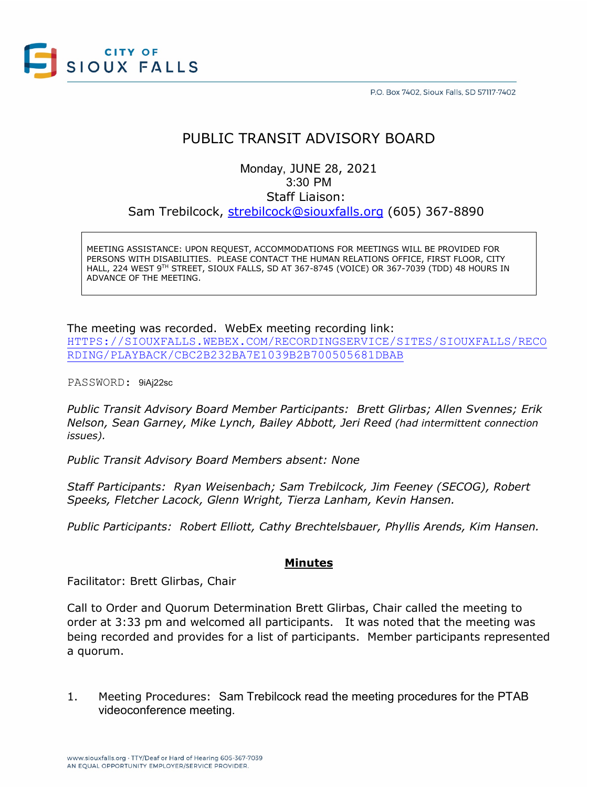

P.O. Box 7402, Sioux Falls, SD 57117-7402

# PUBLIC TRANSIT ADVISORY BOARD

Monday, JUNE 28, 2021 3:30 PM Staff Liaison: Sam Trebilcock, [strebilcock@siouxfalls.org](mailto:strebilcock@siouxfalls.org) (605) 367-8890

MEETING ASSISTANCE: UPON REQUEST, ACCOMMODATIONS FOR MEETINGS WILL BE PROVIDED FOR PERSONS WITH DISABILITIES. PLEASE CONTACT THE HUMAN RELATIONS OFFICE, FIRST FLOOR, CITY HALL, 224 WEST 9TH STREET, SIOUX FALLS, SD AT 367-8745 (VOICE) OR 367-7039 (TDD) 48 HOURS IN ADVANCE OF THE MEETING.

#### The meeting was recorded. WebEx meeting recording link:

[HTTPS://SIOUXFALLS.WEBEX.COM/RECORDINGSERVICE/SITES/SIOUXFALLS/RECO](https://siouxfalls.webex.com/recordingservice/sites/siouxfalls/recording/playback/cbc2b232ba7e1039b2b700505681dbab) [RDING/PLAYBACK/CBC2B232BA7E1039B2B700505681DBAB](https://siouxfalls.webex.com/recordingservice/sites/siouxfalls/recording/playback/cbc2b232ba7e1039b2b700505681dbab)

PASSWORD: 9iAj22sc

*Public Transit Advisory Board Member Participants: Brett Glirbas; Allen Svennes; Erik Nelson, Sean Garney, Mike Lynch, Bailey Abbott, Jeri Reed (had intermittent connection issues).*

*Public Transit Advisory Board Members absent: None*

*Staff Participants: Ryan Weisenbach; Sam Trebilcock, Jim Feeney (SECOG), Robert Speeks, Fletcher Lacock, Glenn Wright, Tierza Lanham, Kevin Hansen.*

*Public Participants: Robert Elliott, Cathy Brechtelsbauer, Phyllis Arends, Kim Hansen.*

## **Minutes**

Facilitator: Brett Glirbas, Chair

Call to Order and Quorum Determination Brett Glirbas, Chair called the meeting to order at 3:33 pm and welcomed all participants. It was noted that the meeting was being recorded and provides for a list of participants. Member participants represented a quorum.

1. Meeting Procedures: Sam Trebilcock read the meeting procedures for the PTAB videoconference meeting.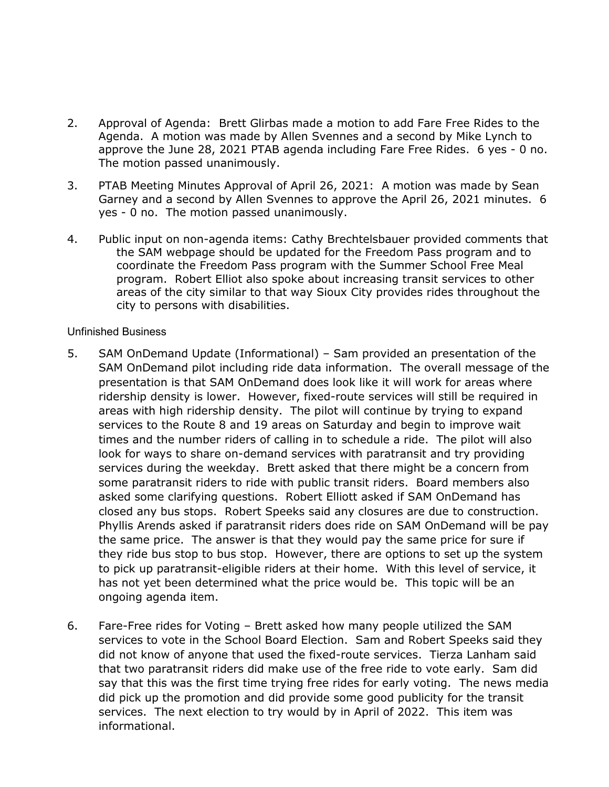- 2. Approval of Agenda: Brett Glirbas made a motion to add Fare Free Rides to the Agenda. A motion was made by Allen Svennes and a second by Mike Lynch to approve the June 28, 2021 PTAB agenda including Fare Free Rides. 6 yes - 0 no. The motion passed unanimously.
- 3. PTAB Meeting Minutes Approval of April 26, 2021: A motion was made by Sean Garney and a second by Allen Svennes to approve the April 26, 2021 minutes. 6 yes - 0 no. The motion passed unanimously.
- 4. Public input on non-agenda items: Cathy Brechtelsbauer provided comments that the SAM webpage should be updated for the Freedom Pass program and to coordinate the Freedom Pass program with the Summer School Free Meal program. Robert Elliot also spoke about increasing transit services to other areas of the city similar to that way Sioux City provides rides throughout the city to persons with disabilities.

## Unfinished Business

- 5. SAM OnDemand Update (Informational) Sam provided an presentation of the SAM OnDemand pilot including ride data information. The overall message of the presentation is that SAM OnDemand does look like it will work for areas where ridership density is lower. However, fixed-route services will still be required in areas with high ridership density. The pilot will continue by trying to expand services to the Route 8 and 19 areas on Saturday and begin to improve wait times and the number riders of calling in to schedule a ride. The pilot will also look for ways to share on-demand services with paratransit and try providing services during the weekday. Brett asked that there might be a concern from some paratransit riders to ride with public transit riders. Board members also asked some clarifying questions. Robert Elliott asked if SAM OnDemand has closed any bus stops. Robert Speeks said any closures are due to construction. Phyllis Arends asked if paratransit riders does ride on SAM OnDemand will be pay the same price. The answer is that they would pay the same price for sure if they ride bus stop to bus stop. However, there are options to set up the system to pick up paratransit-eligible riders at their home. With this level of service, it has not yet been determined what the price would be. This topic will be an ongoing agenda item.
- 6. Fare-Free rides for Voting Brett asked how many people utilized the SAM services to vote in the School Board Election. Sam and Robert Speeks said they did not know of anyone that used the fixed-route services. Tierza Lanham said that two paratransit riders did make use of the free ride to vote early. Sam did say that this was the first time trying free rides for early voting. The news media did pick up the promotion and did provide some good publicity for the transit services. The next election to try would by in April of 2022. This item was informational.